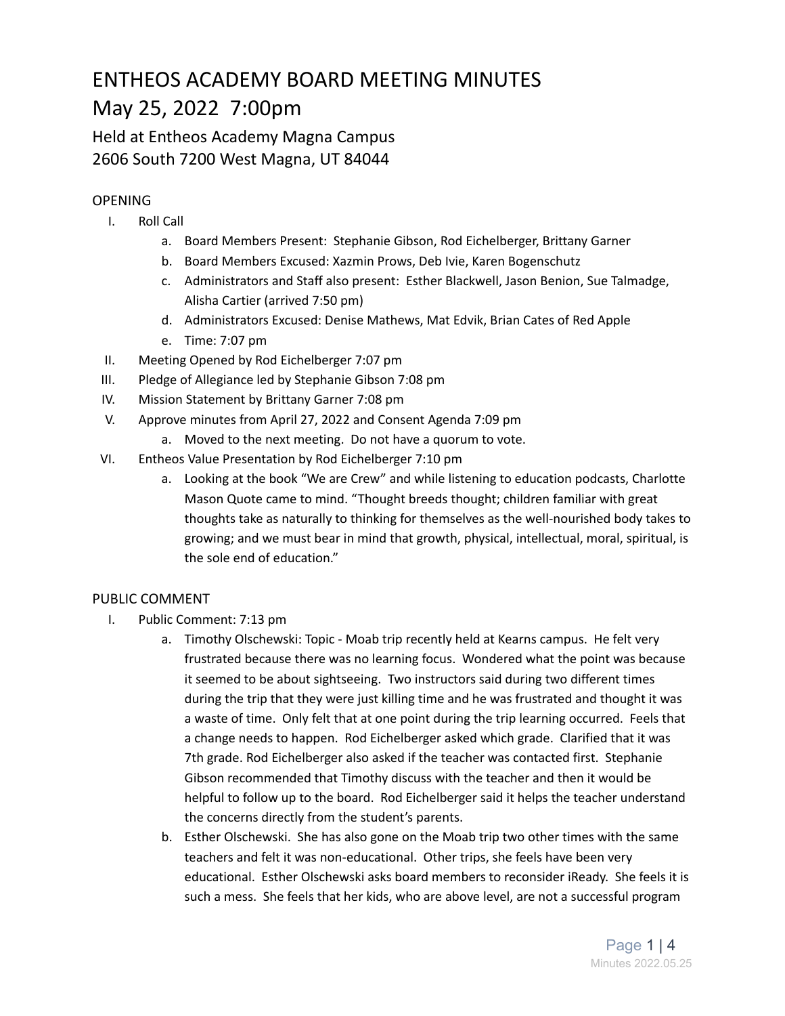# ENTHEOS ACADEMY BOARD MEETING MINUTES May 25, 2022 7:00pm

Held at Entheos Academy Magna Campus 2606 South 7200 West Magna, UT 84044

## **OPENING**

- I. Roll Call
	- a. Board Members Present: Stephanie Gibson, Rod Eichelberger, Brittany Garner
	- b. Board Members Excused: Xazmin Prows, Deb Ivie, Karen Bogenschutz
	- c. Administrators and Staff also present: Esther Blackwell, Jason Benion, Sue Talmadge, Alisha Cartier (arrived 7:50 pm)
	- d. Administrators Excused: Denise Mathews, Mat Edvik, Brian Cates of Red Apple
	- e. Time: 7:07 pm
- II. Meeting Opened by Rod Eichelberger 7:07 pm
- III. Pledge of Allegiance led by Stephanie Gibson 7:08 pm
- IV. Mission Statement by Brittany Garner 7:08 pm
- V. Approve minutes from April 27, 2022 and Consent Agenda 7:09 pm
	- a. Moved to the next meeting. Do not have a quorum to vote.
- VI. Entheos Value Presentation by Rod Eichelberger 7:10 pm
	- a. Looking at the book "We are Crew" and while listening to education podcasts, Charlotte Mason Quote came to mind. "Thought breeds thought; children familiar with great thoughts take as naturally to thinking for themselves as the well-nourished body takes to growing; and we must bear in mind that growth, physical, intellectual, moral, spiritual, is the sole end of education."

## PUBLIC COMMENT

- I. Public Comment: 7:13 pm
	- a. Timothy Olschewski: Topic Moab trip recently held at Kearns campus. He felt very frustrated because there was no learning focus. Wondered what the point was because it seemed to be about sightseeing. Two instructors said during two different times during the trip that they were just killing time and he was frustrated and thought it was a waste of time. Only felt that at one point during the trip learning occurred. Feels that a change needs to happen. Rod Eichelberger asked which grade. Clarified that it was 7th grade. Rod Eichelberger also asked if the teacher was contacted first. Stephanie Gibson recommended that Timothy discuss with the teacher and then it would be helpful to follow up to the board. Rod Eichelberger said it helps the teacher understand the concerns directly from the student's parents.
	- b. Esther Olschewski. She has also gone on the Moab trip two other times with the same teachers and felt it was non-educational. Other trips, she feels have been very educational. Esther Olschewski asks board members to reconsider iReady. She feels it is such a mess. She feels that her kids, who are above level, are not a successful program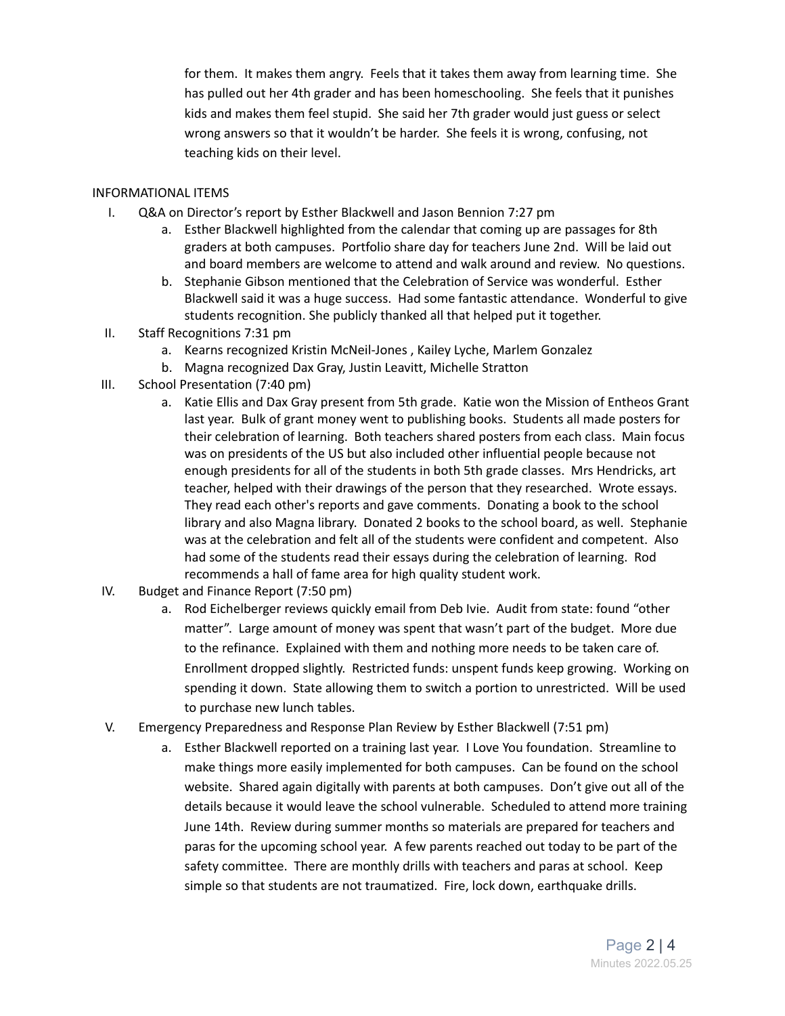for them. It makes them angry. Feels that it takes them away from learning time. She has pulled out her 4th grader and has been homeschooling. She feels that it punishes kids and makes them feel stupid. She said her 7th grader would just guess or select wrong answers so that it wouldn't be harder. She feels it is wrong, confusing, not teaching kids on their level.

#### INFORMATIONAL ITEMS

- I. Q&A on Director's report by Esther Blackwell and Jason Bennion 7:27 pm
	- a. Esther Blackwell highlighted from the calendar that coming up are passages for 8th graders at both campuses. Portfolio share day for teachers June 2nd. Will be laid out and board members are welcome to attend and walk around and review. No questions.
	- b. Stephanie Gibson mentioned that the Celebration of Service was wonderful. Esther Blackwell said it was a huge success. Had some fantastic attendance. Wonderful to give students recognition. She publicly thanked all that helped put it together.
- II. Staff Recognitions 7:31 pm
	- a. Kearns recognized Kristin McNeil-Jones , Kailey Lyche, Marlem Gonzalez
	- b. Magna recognized Dax Gray, Justin Leavitt, Michelle Stratton
- III. School Presentation (7:40 pm)
	- a. Katie Ellis and Dax Gray present from 5th grade. Katie won the Mission of Entheos Grant last year. Bulk of grant money went to publishing books. Students all made posters for their celebration of learning. Both teachers shared posters from each class. Main focus was on presidents of the US but also included other influential people because not enough presidents for all of the students in both 5th grade classes. Mrs Hendricks, art teacher, helped with their drawings of the person that they researched. Wrote essays. They read each other's reports and gave comments. Donating a book to the school library and also Magna library. Donated 2 books to the school board, as well. Stephanie was at the celebration and felt all of the students were confident and competent. Also had some of the students read their essays during the celebration of learning. Rod recommends a hall of fame area for high quality student work.
- IV. Budget and Finance Report (7:50 pm)
	- a. Rod Eichelberger reviews quickly email from Deb Ivie. Audit from state: found "other matter". Large amount of money was spent that wasn't part of the budget. More due to the refinance. Explained with them and nothing more needs to be taken care of. Enrollment dropped slightly. Restricted funds: unspent funds keep growing. Working on spending it down. State allowing them to switch a portion to unrestricted. Will be used to purchase new lunch tables.
- V. Emergency Preparedness and Response Plan Review by Esther Blackwell (7:51 pm)
	- a. Esther Blackwell reported on a training last year. I Love You foundation. Streamline to make things more easily implemented for both campuses. Can be found on the school website. Shared again digitally with parents at both campuses. Don't give out all of the details because it would leave the school vulnerable. Scheduled to attend more training June 14th. Review during summer months so materials are prepared for teachers and paras for the upcoming school year. A few parents reached out today to be part of the safety committee. There are monthly drills with teachers and paras at school. Keep simple so that students are not traumatized. Fire, lock down, earthquake drills.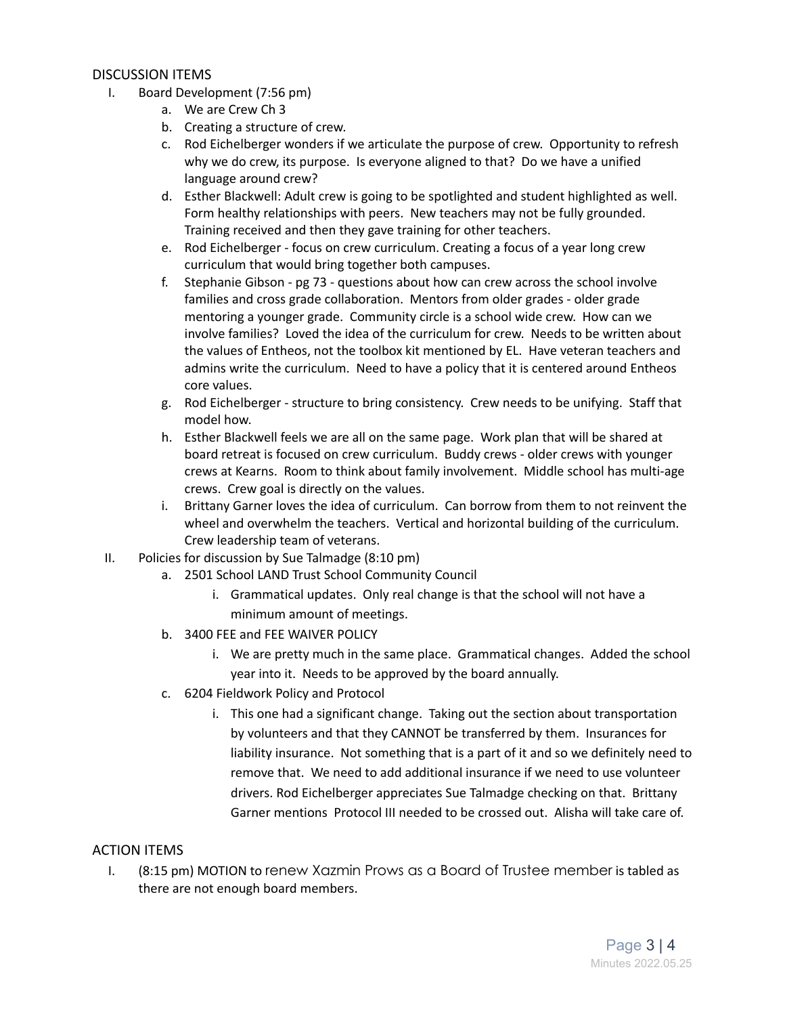#### DISCUSSION ITEMS

- I. Board Development (7:56 pm)
	- a. We are Crew Ch 3
	- b. Creating a structure of crew.
	- c. Rod Eichelberger wonders if we articulate the purpose of crew. Opportunity to refresh why we do crew, its purpose. Is everyone aligned to that? Do we have a unified language around crew?
	- d. Esther Blackwell: Adult crew is going to be spotlighted and student highlighted as well. Form healthy relationships with peers. New teachers may not be fully grounded. Training received and then they gave training for other teachers.
	- e. Rod Eichelberger focus on crew curriculum. Creating a focus of a year long crew curriculum that would bring together both campuses.
	- f. Stephanie Gibson pg 73 questions about how can crew across the school involve families and cross grade collaboration. Mentors from older grades - older grade mentoring a younger grade. Community circle is a school wide crew. How can we involve families? Loved the idea of the curriculum for crew. Needs to be written about the values of Entheos, not the toolbox kit mentioned by EL. Have veteran teachers and admins write the curriculum. Need to have a policy that it is centered around Entheos core values.
	- g. Rod Eichelberger structure to bring consistency. Crew needs to be unifying. Staff that model how.
	- h. Esther Blackwell feels we are all on the same page. Work plan that will be shared at board retreat is focused on crew curriculum. Buddy crews - older crews with younger crews at Kearns. Room to think about family involvement. Middle school has multi-age crews. Crew goal is directly on the values.
	- i. Brittany Garner loves the idea of curriculum. Can borrow from them to not reinvent the wheel and overwhelm the teachers. Vertical and horizontal building of the curriculum. Crew leadership team of veterans.
- II. Policies for discussion by Sue Talmadge (8:10 pm)
	- a. 2501 School LAND Trust School Community Council
		- i. Grammatical updates. Only real change is that the school will not have a minimum amount of meetings.
	- b. 3400 FEE and FEE WAIVER POLICY
		- i. We are pretty much in the same place. Grammatical changes. Added the school year into it. Needs to be approved by the board annually.
	- c. 6204 Fieldwork Policy and Protocol
		- i. This one had a significant change. Taking out the section about transportation by volunteers and that they CANNOT be transferred by them. Insurances for liability insurance. Not something that is a part of it and so we definitely need to remove that. We need to add additional insurance if we need to use volunteer drivers. Rod Eichelberger appreciates Sue Talmadge checking on that. Brittany Garner mentions Protocol III needed to be crossed out. Alisha will take care of.

### ACTION ITEMS

I. (8:15 pm) MOTION to renew Xazmin Prows as a Board of Trustee member is tabled as there are not enough board members.